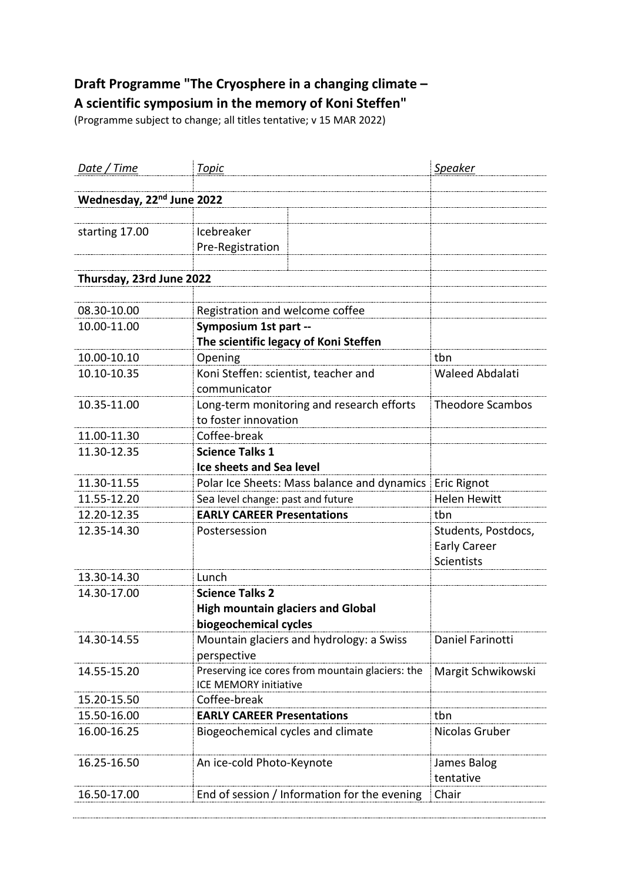## **Draft Programme "The Cryosphere in a changing climate – A scientific symposium in the memory of Koni Steffen"**

(Programme subject to change; all titles tentative; v 15 MAR 2022)

| <u>Date / Time</u>                    | <b>Topic</b>                                                                     | <b>Speaker</b>                                           |
|---------------------------------------|----------------------------------------------------------------------------------|----------------------------------------------------------|
|                                       |                                                                                  |                                                          |
| Wednesday, 22 <sup>nd</sup> June 2022 |                                                                                  |                                                          |
| starting 17.00                        | Icebreaker<br>Pre-Registration                                                   |                                                          |
| Thursday, 23rd June 2022              |                                                                                  |                                                          |
|                                       |                                                                                  |                                                          |
| 08.30-10.00                           | Registration and welcome coffee                                                  |                                                          |
| 10.00-11.00                           | Symposium 1st part --                                                            |                                                          |
|                                       | The scientific legacy of Koni Steffen                                            |                                                          |
| 10.00-10.10                           | Opening                                                                          | tbn                                                      |
| 10.10-10.35                           | Koni Steffen: scientist, teacher and                                             | <b>Waleed Abdalati</b>                                   |
|                                       | communicator                                                                     |                                                          |
| 10.35-11.00                           | Long-term monitoring and research efforts                                        | <b>Theodore Scambos</b>                                  |
|                                       | to foster innovation                                                             |                                                          |
| 11.00-11.30                           | Coffee-break                                                                     |                                                          |
| 11.30-12.35                           | <b>Science Talks 1</b>                                                           |                                                          |
|                                       | <b>Ice sheets and Sea level</b>                                                  |                                                          |
| 11.30-11.55                           | Polar Ice Sheets: Mass balance and dynamics   Eric Rignot                        |                                                          |
| 11.55-12.20                           | Sea level change: past and future                                                | <b>Helen Hewitt</b>                                      |
| 12.20-12.35                           | <b>EARLY CAREER Presentations</b>                                                | tbn                                                      |
| 12.35-14.30                           | Postersession                                                                    | Students, Postdocs,<br><b>Early Career</b><br>Scientists |
| 13.30-14.30                           | Lunch                                                                            |                                                          |
| 14.30-17.00                           | <b>Science Talks 2</b>                                                           |                                                          |
|                                       | <b>High mountain glaciers and Global</b><br>biogeochemical cycles                |                                                          |
| 14.30-14.55                           | Mountain glaciers and hydrology: a Swiss<br>perspective                          | Daniel Farinotti                                         |
| 14.55-15.20                           | Preserving ice cores from mountain glaciers: the<br><b>ICE MEMORY initiative</b> | Margit Schwikowski                                       |
| 15.20-15.50                           | Coffee-break                                                                     |                                                          |
| 15.50-16.00                           | <b>EARLY CAREER Presentations</b>                                                | tbn                                                      |
| 16.00-16.25                           | Biogeochemical cycles and climate                                                | Nicolas Gruber                                           |
| 16.25-16.50                           | An ice-cold Photo-Keynote                                                        | James Balog<br>tentative                                 |
| 16.50-17.00                           | End of session / Information for the evening                                     | Chair                                                    |